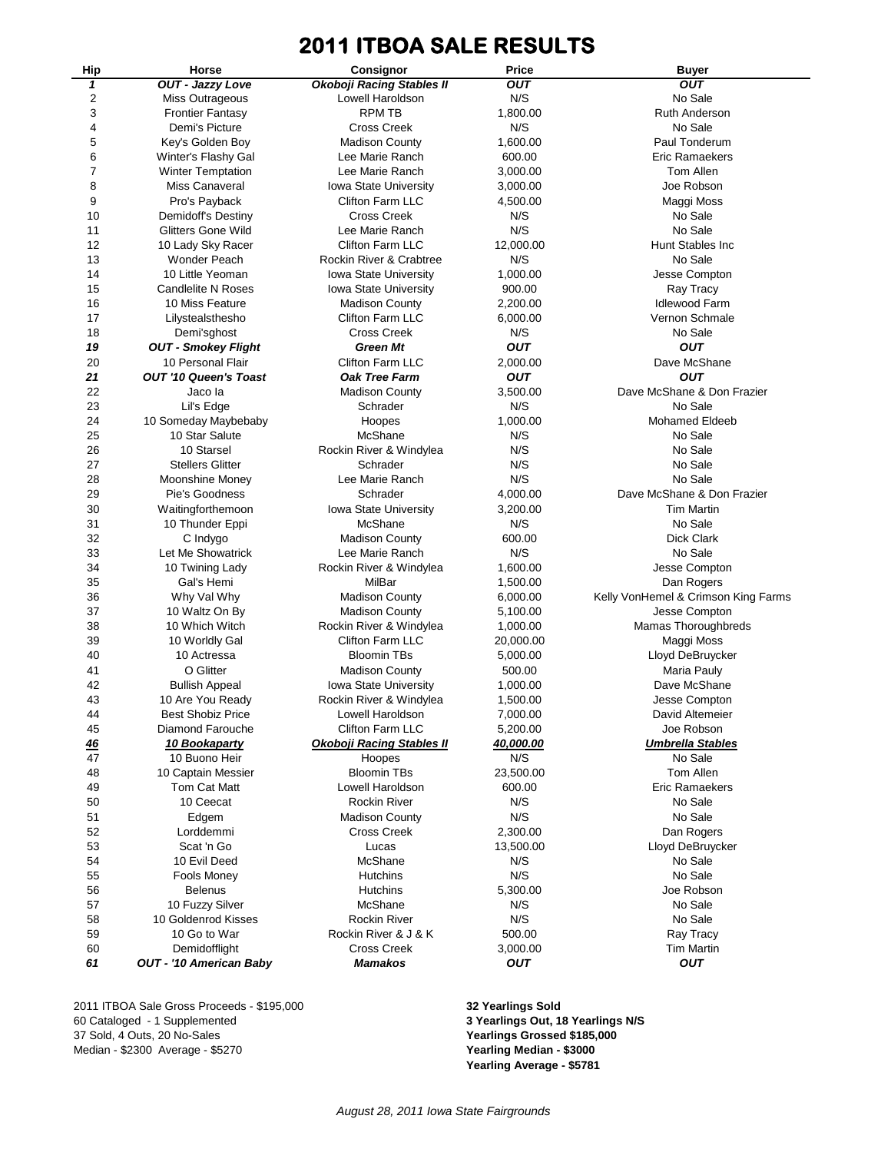# **2011 ITBOA SALE RESULTS**

| Hip | Horse                          | Consignor                        | Price      | <b>Buyer</b>                        |
|-----|--------------------------------|----------------------------------|------------|-------------------------------------|
| 1   | <b>OUT - Jazzy Love</b>        | <b>Okoboji Racing Stables II</b> | <b>OUT</b> | <b>OUT</b>                          |
| 2   | Miss Outrageous                | Lowell Haroldson                 | N/S        | No Sale                             |
| 3   | <b>Frontier Fantasy</b>        | <b>RPM TB</b>                    | 1,800.00   | Ruth Anderson                       |
| 4   | Demi's Picture                 | <b>Cross Creek</b>               | N/S        | No Sale                             |
| 5   | Key's Golden Boy               | <b>Madison County</b>            | 1,600.00   | Paul Tonderum                       |
| 6   | Winter's Flashy Gal            | Lee Marie Ranch                  | 600.00     | <b>Eric Ramaekers</b>               |
| 7   | <b>Winter Temptation</b>       | Lee Marie Ranch                  | 3,000.00   | Tom Allen                           |
| 8   | Miss Canaveral                 | <b>Iowa State University</b>     | 3,000.00   | Joe Robson                          |
| 9   | Pro's Payback                  | Clifton Farm LLC                 | 4,500.00   | Maggi Moss                          |
| 10  | Demidoff's Destiny             | <b>Cross Creek</b>               | N/S        | No Sale                             |
| 11  | Glitters Gone Wild             | Lee Marie Ranch                  | N/S        | No Sale                             |
| 12  | 10 Lady Sky Racer              | <b>Clifton Farm LLC</b>          | 12,000.00  | Hunt Stables Inc                    |
| 13  | Wonder Peach                   | Rockin River & Crabtree          | N/S        | No Sale                             |
| 14  | 10 Little Yeoman               | <b>Iowa State University</b>     | 1,000.00   | Jesse Compton                       |
|     |                                |                                  |            |                                     |
| 15  | <b>Candlelite N Roses</b>      | Iowa State University            | 900.00     | Ray Tracy                           |
| 16  | 10 Miss Feature                | <b>Madison County</b>            | 2,200.00   | <b>Idlewood Farm</b>                |
| 17  | Lilystealsthesho               | Clifton Farm LLC                 | 6,000.00   | Vernon Schmale                      |
| 18  | Demi'sghost                    | <b>Cross Creek</b>               | N/S        | No Sale                             |
| 19  | <b>OUT - Smokey Flight</b>     | Green Mt                         | <b>OUT</b> | <b>OUT</b>                          |
| 20  | 10 Personal Flair              | <b>Clifton Farm LLC</b>          | 2,000.00   | Dave McShane                        |
| 21  | <b>OUT '10 Queen's Toast</b>   | <b>Oak Tree Farm</b>             | <b>OUT</b> | <b>OUT</b>                          |
| 22  | Jaco la                        | <b>Madison County</b>            | 3,500.00   | Dave McShane & Don Frazier          |
| 23  | Lil's Edge                     | Schrader                         | N/S        | No Sale                             |
| 24  | 10 Someday Maybebaby           | Hoopes                           | 1,000.00   | <b>Mohamed Eldeeb</b>               |
| 25  | 10 Star Salute                 | McShane                          | N/S        | No Sale                             |
| 26  | 10 Starsel                     | Rockin River & Windylea          | N/S        | No Sale                             |
| 27  | <b>Stellers Glitter</b>        | Schrader                         | N/S        | No Sale                             |
| 28  | <b>Moonshine Money</b>         | Lee Marie Ranch                  | N/S        | No Sale                             |
| 29  | Pie's Goodness                 | Schrader                         | 4,000.00   | Dave McShane & Don Frazier          |
| 30  | Waitingforthemoon              | <b>Iowa State University</b>     | 3,200.00   | <b>Tim Martin</b>                   |
| 31  | 10 Thunder Eppi                | McShane                          | N/S        | No Sale                             |
| 32  | C Indygo                       | <b>Madison County</b>            | 600.00     | <b>Dick Clark</b>                   |
| 33  | Let Me Showatrick              | Lee Marie Ranch                  | N/S        | No Sale                             |
| 34  | 10 Twining Lady                | Rockin River & Windylea          | 1,600.00   | Jesse Compton                       |
| 35  | Gal's Hemi                     | MilBar                           | 1,500.00   | Dan Rogers                          |
| 36  | Why Val Why                    | <b>Madison County</b>            | 6,000.00   | Kelly VonHemel & Crimson King Farms |
| 37  | 10 Waltz On By                 | <b>Madison County</b>            | 5,100.00   | Jesse Compton                       |
| 38  | 10 Which Witch                 | Rockin River & Windylea          | 1,000.00   | <b>Mamas Thoroughbreds</b>          |
| 39  | 10 Worldly Gal                 | Clifton Farm LLC                 | 20,000.00  | Maggi Moss                          |
| 40  | 10 Actressa                    | <b>Bloomin TBs</b>               | 5,000.00   | Lloyd DeBruycker                    |
| 41  | O Glitter                      |                                  | 500.00     | Maria Pauly                         |
| 42  |                                | <b>Madison County</b>            |            | Dave McShane                        |
|     | <b>Bullish Appeal</b>          | Iowa State University            | 1,000.00   |                                     |
| 43  | 10 Are You Ready               | Rockin River & Windylea          | 1,500.00   | Jesse Compton                       |
| 44  | <b>Best Shobiz Price</b>       | Lowell Haroldson                 | 7,000.00   | David Altemeier                     |
| 45  | Diamond Farouche               | Clifton Farm LLC                 | 5,200.00   | Joe Robson                          |
| 46  | 10 Bookaparty                  | <b>Okoboji Racing Stables II</b> | 40,000.00  | <b>Umbrella Stables</b>             |
| 47  | 10 Buono Heir                  | Hoopes                           | N/S        | No Sale                             |
| 48  | 10 Captain Messier             | <b>Bloomin TBs</b>               | 23,500.00  | Tom Allen                           |
| 49  | Tom Cat Matt                   | Lowell Haroldson                 | 600.00     | Eric Ramaekers                      |
| 50  | 10 Ceecat                      | <b>Rockin River</b>              | N/S        | No Sale                             |
| 51  | Edgem                          | <b>Madison County</b>            | N/S        | No Sale                             |
| 52  | Lorddemmi                      | <b>Cross Creek</b>               | 2,300.00   | Dan Rogers                          |
| 53  | Scat 'n Go                     | Lucas                            | 13,500.00  | Lloyd DeBruycker                    |
| 54  | 10 Evil Deed                   | McShane                          | N/S        | No Sale                             |
| 55  | <b>Fools Money</b>             | <b>Hutchins</b>                  | N/S        | No Sale                             |
| 56  | <b>Belenus</b>                 | <b>Hutchins</b>                  | 5,300.00   | Joe Robson                          |
| 57  | 10 Fuzzy Silver                | McShane                          | N/S        | No Sale                             |
| 58  | 10 Goldenrod Kisses            | <b>Rockin River</b>              | N/S        | No Sale                             |
| 59  | 10 Go to War                   | Rockin River & J & K             | 500.00     | Ray Tracy                           |
| 60  | Demidofflight                  | <b>Cross Creek</b>               | 3,000.00   | <b>Tim Martin</b>                   |
| 61  | <b>OUT - '10 American Baby</b> | <b>Mamakos</b>                   | <b>OUT</b> | <b>OUT</b>                          |
|     |                                |                                  |            |                                     |

2011 ITBOA Sale Gross Proceeds - \$195,000 **32 Yearlings Sold** 60 Cataloged - 1 Supplemented **3 Yearlings Out, 18 Yearlings N/S** 37 Sold, 4 Outs, 20 No-Sales **Yearlings Grossed \$185,000** Median - \$2300 Average - \$5270

**Yearling Average - \$5781**